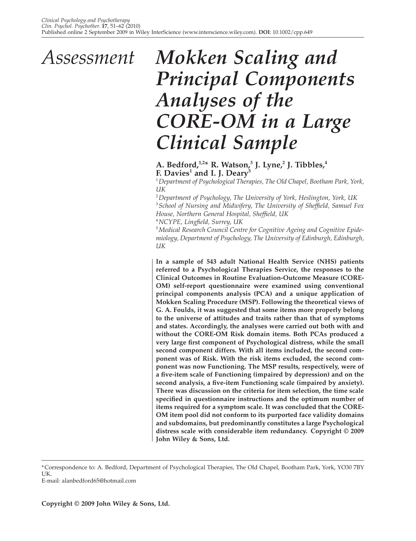# *Mokken Scaling and Principal Components Analyses of the CORE-OM in a Large Clinical Sample Assessment*

# A. Bedford,<sup>1,2</sup>\* R. Watson,<sup>3</sup> J. Lyne,<sup>2</sup> J. Tibbles,<sup>4</sup> **F. Davies1 and I. J. Deary5**

1  *Department of Psychological Therapies, The Old Chapel, Bootham Park, York, UK*

2  *Department of Psychology, The University of York, Heslington, York, UK* <sup>3</sup> School of Nursing and Midwifery, The University of Sheffield, Samuel Fox *House, Northern General Hospital, Sheffield, UK* 

<sup>4</sup>NCYPE, Lingfield, Surrey, UK

5  *Medical Research Council Centre for Cognitive Ageing and Cognitive Epidemiology, Department of Psychology, The University of Edinburgh, Edinburgh, UK*

**In a sample of 543 adult National Health Service (NHS) patients referred to a Psychological Therapies Service, the responses to the Clinical Outcomes in Routine Evaluation-Outcome Measure (CORE-OM) self-report questionnaire were examined using conventional principal components analysis (PCA) and a unique application of Mokken Scaling Procedure (MSP). Following the theoretical views of G. A. Foulds, it was suggested that some items more properly belong to the universe of attitudes and traits rather than that of symptoms and states. Accordingly, the analyses were carried out both with and without the CORE-OM Risk domain items. Both PCAs produced a**  very large first component of Psychological distress, while the small **second component differs. With all items included, the second component was of Risk. With the risk items excluded, the second component was now Functioning. The MSP results, respectively, were of a fi ve-item scale of Functioning (impaired by depression) and on the**  second analysis, a five-item Functioning scale (impaired by anxiety). **There was discussion on the criteria for item selection, the time scale**  specified in questionnaire instructions and the optimum number of **items required for a symptom scale. It was concluded that the CORE-OM item pool did not conform to its purported face validity domains and subdomains, but predominantly constitutes a large Psychological distress scale with considerable item redundancy. Copyright © 2009 John Wiley & Sons, Ltd.**

<sup>\*</sup> Correspondence to: A. Bedford, Department of Psychological Therapies, The Old Chapel, Bootham Park, York, YO30 7BY UK.

E-mail: alanbedford65@hotmail.com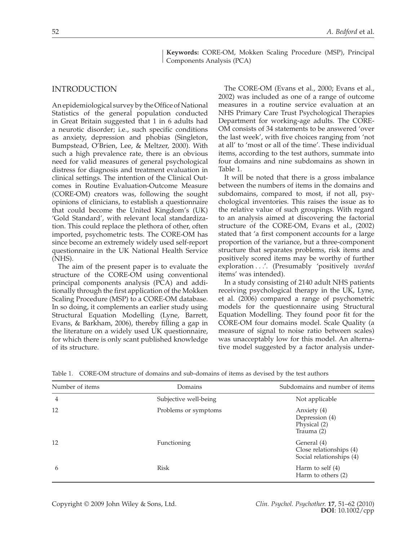**Keywords:** CORE-OM, Mokken Scaling Procedure (MSP), Principal Components Analysis (PCA)

# INTRODUCTION

An epidemiological survey by the Office of National Statistics of the general population conducted in Great Britain suggested that 1 in 6 adults had a neurotic disorder; i.e., such specific conditions as anxiety, depression and phobias (Singleton, Bumpstead, O'Brien, Lee, & Meltzer, 2000). With such a high prevalence rate, there is an obvious need for valid measures of general psychological distress for diagnosis and treatment evaluation in clinical settings. The intention of the Clinical Outcomes in Routine Evaluation-Outcome Measure (CORE-OM) creators was, following the sought opinions of clinicians, to establish a questionnaire that could become the United Kingdom's (UK) 'Gold Standard', with relevant local standardization. This could replace the plethora of other, often imported, psychometric tests. The CORE-OM has since become an extremely widely used self-report questionnaire in the UK National Health Service (NHS).

The aim of the present paper is to evaluate the structure of the CORE-OM using conventional principal components analysis (PCA) and additionally through the first application of the Mokken Scaling Procedure (MSP) to a CORE-OM database. In so doing, it complements an earlier study using Structural Equation Modelling (Lyne, Barrett, Evans, & Barkham, 2006), thereby filling a gap in the literature on a widely used UK questionnaire, for which there is only scant published knowledge of its structure.

The CORE-OM (Evans et al., 2000; Evans et al., 2002) was included as one of a range of outcome measures in a routine service evaluation at an NHS Primary Care Trust Psychological Therapies Department for working-age adults. The CORE-OM consists of 34 statements to be answered 'over the last week', with five choices ranging from 'not at all' to 'most or all of the time'. These individual items, according to the test authors, summate into four domains and nine subdomains as shown in Table 1.

It will be noted that there is a gross imbalance between the numbers of items in the domains and subdomains, compared to most, if not all, psychological inventories. This raises the issue as to the relative value of such groupings. With regard to an analysis aimed at discovering the factorial structure of the CORE-OM, Evans et al., (2002) stated that 'a first component accounts for a large proportion of the variance, but a three-component structure that separates problems, risk items and positively scored items may be worthy of further exploration . . .'. (Presumably 'positively *worded* items' was intended).

In a study consisting of 2140 adult NHS patients receiving psychological therapy in the UK, Lyne, et al. (2006) compared a range of psychometric models for the questionnaire using Structural Equation Modelling. They found poor fit for the CORE-OM four domains model. Scale Quality (a measure of signal to noise ratio between scales) was unacceptably low for this model. An alternative model suggested by a factor analysis under-

| Number of items | Domains               | Subdomains and number of items                                     |
|-----------------|-----------------------|--------------------------------------------------------------------|
| $\overline{4}$  | Subjective well-being | Not applicable                                                     |
| 12              | Problems or symptoms  | Anxiety (4)<br>Depression (4)<br>Physical (2)<br>Trauma (2)        |
| 12              | <b>Functioning</b>    | General (4)<br>Close relationships (4)<br>Social relationships (4) |
| 6               | Risk                  | Harm to self $(4)$<br>Harm to others (2)                           |

Table 1. CORE-OM structure of domains and sub-domains of items as devised by the test authors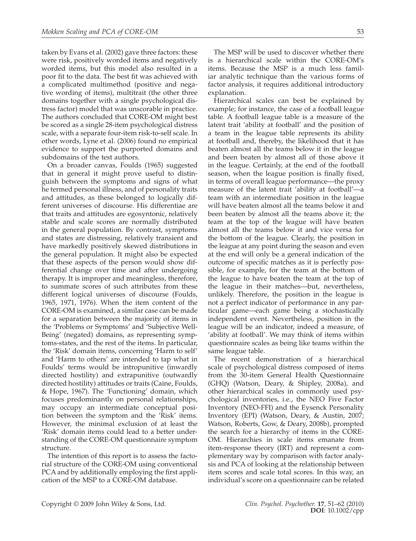taken by Evans et al. (2002) gave three factors: these were risk, positively worded items and negatively worded items, but this model also resulted in a poor fit to the data. The best fit was achieved with a complicated multimethod (positive and negative wording of items), multitrait (the other three domains together with a single psychological distress factor) model that was unscorable in practice. The authors concluded that CORE-OM might best be scored as a single 28-item psychological distress scale, with a separate four-item risk-to-self scale. In other words, Lyne et al. (2006) found no empirical evidence to support the purported domains and subdomains of the test authors.

On a broader canvas, Foulds (1965) suggested that in general it might prove useful to distinguish between the symptoms and signs of what he termed personal illness, and of personality traits and attitudes, as these belonged to logically different universes of discourse. His differentiae are that traits and attitudes are egosyntonic, relatively stable and scale scores are normally distributed in the general population. By contrast, symptoms and states are distressing, relatively transient and have markedly positively skewed distributions in the general population. It might also be expected that these aspects of the person would show differential change over time and after undergoing therapy. It is improper and meaningless, therefore, to summate scores of such attributes from these different logical universes of discourse (Foulds, 1965, 1971, 1976). When the item content of the CORE-OM is examined, a similar case can be made for a separation between the majority of items in the 'Problems or Symptoms' and 'Subjective Well-Being' (negated) domains, as representing symptoms-states, and the rest of the items. In particular, the 'Risk' domain items, concerning 'Harm to self' and 'Harm to others' are intended to tap what in Foulds' terms would be intropunitive (inwardly directed hostility) and extrapunitive (outwardly directed hostility) attitudes or traits (Caine, Foulds, & Hope, 1967). The 'Functioning' domain, which focuses predominantly on personal relationships, may occupy an intermediate conceptual position between the symptom and the 'Risk' items. However, the minimal exclusion of at least the 'Risk' domain items could lead to a better understanding of the CORE-OM questionnaire symptom structure.

The intention of this report is to assess the factorial structure of the CORE-OM using conventional PCA and by additionally employing the first application of the MSP to a CORE-OM database.

The MSP will be used to discover whether there is a hierarchical scale within the CORE-OM's items. Because the MSP is a much less familiar analytic technique than the various forms of factor analysis, it requires additional introductory explanation.

Hierarchical scales can best be explained by example; for instance, the case of a football league table. A football league table is a measure of the latent trait 'ability at football' and the position of a team in the league table represents its ability at football and, thereby, the likelihood that it has beaten almost all the teams below it in the league and been beaten by almost all of those above it in the league. Certainly, at the end of the football season, when the league position is finally fixed, in terms of overall league performance—the proxy measure of the latent trait 'ability at football'—a team with an intermediate position in the league will have beaten almost all the teams below it and been beaten by almost all the teams above it; the team at the top of the league will have beaten almost all the teams below it and vice versa for the bottom of the league. Clearly, the position in the league at any point during the season and even at the end will only be a general indication of the outcome of specific matches as it is perfectly possible, for example, for the team at the bottom of the league to have beaten the team at the top of the league in their matches—but, nevertheless, unlikely. Therefore, the position in the league is not a perfect indicator of performance in any particular game—each game being a stochastically independent event. Nevertheless, position in the league will be an indicator, indeed a measure, of 'ability at football'. We may think of items within questionnaire scales as being like teams within the same league table.

The recent demonstration of a hierarchical scale of psychological distress composed of items from the 30-item General Health Questionnaire (GHQ) (Watson, Deary, & Shipley, 2008a), and other hierarchical scales in commonly used psychological inventories, i.e., the NEO Five Factor Inventory (NEO-FFI) and the Eysenck Personality Inventory (EPI) (Watson, Deary, & Austin, 2007; Watson, Roberts, Gow, & Deary, 2008b), prompted the search for a hierarchy of items in the CORE-OM. Hierarchies in scale items emanate from item-response theory (IRT) and represent a complementary way by comparison with factor analysis and PCA of looking at the relationship between item scores and scale total scores. In this way, an individual's score on a questionnaire can be related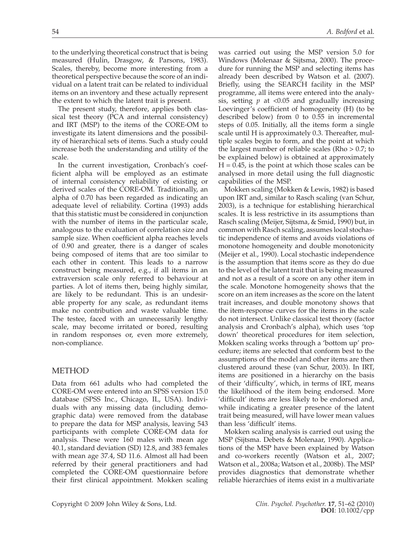to the underlying theoretical construct that is being measured (Hulin, Drasgow, & Parsons, 1983). Scales, thereby, become more interesting from a theoretical perspective because the score of an individual on a latent trait can be related to individual items on an inventory and these actually represent the extent to which the latent trait is present.

The present study, therefore, applies both classical test theory (PCA and internal consistency) and IRT (MSP) to the items of the CORE-OM to investigate its latent dimensions and the possibility of hierarchical sets of items. Such a study could increase both the understanding and utility of the scale.

In the current investigation, Cronbach's coefficient alpha will be employed as an estimate of internal consistency reliability of existing or derived scales of the CORE-OM. Traditionally, an alpha of 0.70 has been regarded as indicating an adequate level of reliability. Cortina (1993) adds that this statistic must be considered in conjunction with the number of items in the particular scale, analogous to the evaluation of correlation size and sample size. When coefficient alpha reaches levels of 0.90 and greater, there is a danger of scales being composed of items that are too similar to each other in content. This leads to a narrow construct being measured, e.g., if all items in an extraversion scale only referred to behaviour at parties. A lot of items then, being highly similar, are likely to be redundant. This is an undesirable property for any scale, as redundant items make no contribution and waste valuable time. The testee, faced with an unnecessarily lengthy scale, may become irritated or bored, resulting in random responses or, even more extremely, non-compliance.

# METHOD

Data from 661 adults who had completed the CORE-OM were entered into an SPSS version 15.0 database (SPSS Inc., Chicago, IL, USA). Individuals with any missing data (including demographic data) were removed from the database to prepare the data for MSP analysis, leaving 543 participants with complete CORE-OM data for analysis. These were 160 males with mean age 40.1, standard deviation (SD) 12.8, and 383 females with mean age 37.4, SD 11.6. Almost all had been referred by their general practitioners and had completed the CORE-OM questionnaire before their first clinical appointment. Mokken scaling

was carried out using the MSP version 5.0 for Windows (Molenaar & Sijtsma, 2000). The procedure for running the MSP and selecting items has already been described by Watson et al. (2007). Briefly, using the SEARCH facility in the MSP programme, all items were entered into the analysis, setting  $p$  at <0.05 and gradually increasing Loevinger's coefficient of homogeneity (H) (to be described below) from 0 to 0.55 in incremental steps of 0.05. Initially, all the items form a single scale until H is approximately 0.3. Thereafter, multiple scales begin to form, and the point at which the largest number of reliable scales (Rho > 0.7; to be explained below) is obtained at approximately  $H = 0.45$ , is the point at which those scales can be analysed in more detail using the full diagnostic capabilities of the MSP.

Mokken scaling (Mokken & Lewis, 1982) is based upon IRT and, similar to Rasch scaling (van Schur, 2003), is a technique for establishing hierarchical scales. It is less restrictive in its assumptions than Rasch scaling (Meijer, Sijtsma, & Smid, 1990) but, in common with Rasch scaling, assumes local stochastic independence of items and avoids violations of monotone homogeneity and double monotonicity (Meijer et al., 1990). Local stochastic independence is the assumption that items score as they do due to the level of the latent trait that is being measured and not as a result of a score on any other item in the scale. Monotone homogeneity shows that the score on an item increases as the score on the latent trait increases, and double monotony shows that the item-response curves for the items in the scale do not intersect. Unlike classical test theory (factor analysis and Cronbach's alpha), which uses 'top down' theoretical procedures for item selection, Mokken scaling works through a 'bottom up' procedure; items are selected that conform best to the assumptions of the model and other items are then clustered around these (van Schur, 2003). In IRT, items are positioned in a hierarchy on the basis of their 'difficulty', which, in terms of IRT, means the likelihood of the item being endorsed. More 'difficult' items are less likely to be endorsed and, while indicating a greater presence of the latent trait being measured, will have lower mean values than less 'difficult' items.

Mokken scaling analysis is carried out using the MSP (Sijtsma. Debets & Molenaar, 1990). Applications of the MSP have been explained by Watson and co-workers recently (Watson et al., 2007; Watson et al., 2008a; Watson et al., 2008b). The MSP provides diagnostics that demonstrate whether reliable hierarchies of items exist in a multivariate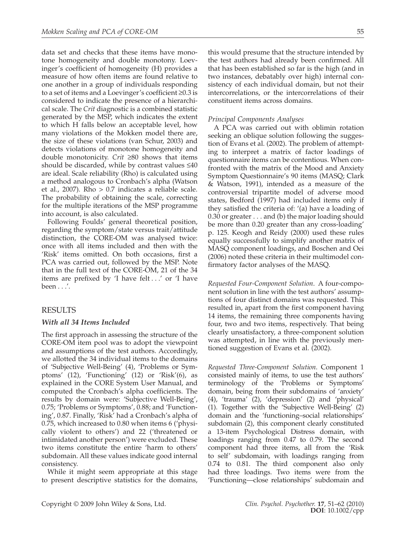data set and checks that these items have monotone homogeneity and double monotony. Loevinger's coefficient of homogeneity (H) provides a measure of how often items are found relative to one another in a group of individuals responding to a set of items and a Loevinger's coefficient  $\geq 0.3$  is considered to indicate the presence of a hierarchical scale. The *Crit* diagnostic is a combined statistic generated by the MSP, which indicates the extent to which H falls below an acceptable level, how many violations of the Mokken model there are, the size of these violations (van Schur, 2003) and detects violations of monotone homogeneity and double monotonicity. *Crit* ≥80 shows that items should be discarded, while by contrast values  $\leq 40$ are ideal. Scale reliability (Rho) is calculated using a method analogous to Cronbach's alpha (Watson et al., 2007). Rho > 0.7 indicates a reliable scale. The probability of obtaining the scale, correcting for the multiple iterations of the MSP programme into account, is also calculated.

Following Foulds' general theoretical position, regarding the symptom/state versus trait/attitude distinction, the CORE-OM was analysed twice: once with all items included and then with the 'Risk' items omitted. On both occasions, first a PCA was carried out, followed by the MSP. Note that in the full text of the CORE-OM, 21 of the 34 items are prefixed by  $\prime$ I have felt . .  $\prime$  or  $\prime$ I have been . . .'.

# RESULTS

## *With all 34 Items Included*

The first approach in assessing the structure of the CORE-OM item pool was to adopt the viewpoint and assumptions of the test authors. Accordingly, we allotted the 34 individual items to the domains of 'Subjective Well-Being' (4), 'Problems or Symptoms' (12), 'Functioning' (12) or 'Risk'(6), as explained in the CORE System User Manual, and computed the Cronbach's alpha coefficients. The results by domain were: 'Subjective Well-Being', 0.75; 'Problems or Symptoms', 0.88; and 'Functioning', 0.87. Finally, 'Risk' had a Cronbach's alpha of 0.75, which increased to 0.80 when items 6 ('physically violent to others') and 22 ('threatened or intimidated another person') were excluded. These two items constitute the entire 'harm to others' subdomain. All these values indicate good internal consistency.

While it might seem appropriate at this stage to present descriptive statistics for the domains, this would presume that the structure intended by the test authors had already been confirmed. All that has been established so far is the high (and in two instances, debatably over high) internal consistency of each individual domain, but not their intercorrelations, or the intercorrelations of their constituent items across domains.

## *Principal Components Analyses*

A PCA was carried out with oblimin rotation seeking an oblique solution following the suggestion of Evans et al. (2002). The problem of attempting to interpret a matrix of factor loadings of questionnaire items can be contentious. When confronted with the matrix of the Mood and Anxiety Symptom Questionnaire's 90 items (MASQ; Clark & Watson, 1991), intended as a measure of the controversial tripartite model of adverse mood states, Bedford (1997) had included items only if they satisfied the criteria of: '(a) have a loading of 0.30 or greater . . . and (b) the major loading should be more than 0.20 greater than any cross-loading' p. 125. Keogh and Reidy (2000) used these rules equally successfully to simplify another matrix of MASQ component loadings, and Boschen and Oei (2006) noted these criteria in their multimodel confirmatory factor analyses of the MASQ.

*Requested Four-Component Solution*. A four-component solution in line with the test authors' assumptions of four distinct domains was requested. This resulted in, apart from the first component having 14 items, the remaining three components having four, two and two items, respectively. That being clearly unsatisfactory, a three-component solution was attempted, in line with the previously mentioned suggestion of Evans et al. (2002).

*Requested Three-Component Solution*. Component 1 consisted mainly of items, to use the test authors' terminology of the 'Problems or Symptoms' domain, being from their subdomains of 'anxiety' (4), 'trauma' (2), 'depression' (2) and 'physical' (1). Together with the 'Subjective Well-Being' (2) domain and the 'functioning–social relationships' subdomain (2), this component clearly constituted a 13-item Psychological Distress domain, with loadings ranging from 0.47 to 0.79. The second component had three items, all from the 'Risk to self' subdomain, with loadings ranging from 0.74 to 0.81. The third component also only had three loadings. Two items were from the 'Functioning—close relationships' subdomain and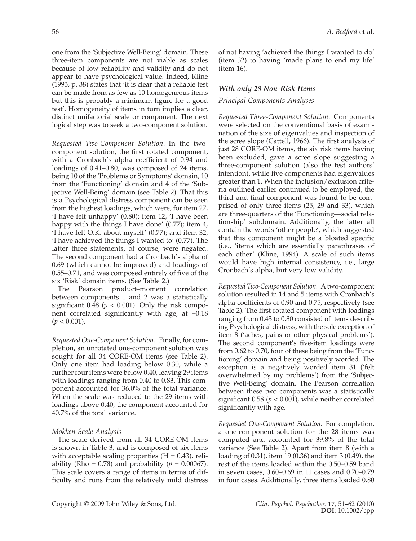one from the 'Subjective Well-Being' domain. These three-item components are not viable as scales because of low reliability and validity and do not appear to have psychological value. Indeed, Kline (1993, p. 38) states that 'it is clear that a reliable test can be made from as few as 10 homogeneous items but this is probably a minimum figure for a good test'. Homogeneity of items in turn implies a clear, distinct unifactorial scale or component. The next logical step was to seek a two-component solution.

*Requested Two-Component Solution*. In the twocomponent solution, the first rotated component, with a Cronbach's alpha coefficient of 0.94 and loadings of 0.41–0.80, was composed of 24 items, being 10 of the 'Problems or Symptoms' domain, 10 from the 'Functioning' domain and 4 of the 'Subjective Well-Being' domain (see Table 2). That this is a Psychological distress component can be seen from the highest loadings, which were, for item 27, 'I have felt unhappy' (0.80); item 12, 'I have been happy with the things I have done' (0.77); item 4, 'I have felt O.K. about myself' (0.77); and item 32, 'I have achieved the things I wanted to' (0.77). The latter three statements, of course, were negated. The second component had a Cronbach's alpha of 0.69 (which cannot be improved) and loadings of  $0.55-0.71$ , and was composed entirely of five of the six 'Risk' domain items. (See Table 2.)

The Pearson product–moment correlation between components 1 and 2 was a statistically significant 0.48 ( $p < 0.001$ ). Only the risk component correlated significantly with age, at –0.18  $(p < 0.001)$ .

*Requested One-Component Solution*. Finally, for completion, an unrotated one-component solution was sought for all 34 CORE-OM items (see Table 2). Only one item had loading below 0.30, while a further four items were below 0.40, leaving 29 items with loadings ranging from 0.40 to 0.83. This component accounted for 36.0% of the total variance. When the scale was reduced to the 29 items with loadings above 0.40, the component accounted for 40.7% of the total variance.

#### *Mokken Scale Analysis*

The scale derived from all 34 CORE-OM items is shown in Table 3, and is composed of six items with acceptable scaling properties  $(H = 0.43)$ , reliability (Rho = 0.78) and probability ( $p = 0.00067$ ). This scale covers a range of items in terms of difficulty and runs from the relatively mild distress of not having 'achieved the things I wanted to do' (item 32) to having 'made plans to end my life' (item 16).

### *With only 28 Non-Risk Items*

## *Principal Components Analyses*

*Requested Three-Component Solution*. Components were selected on the conventional basis of examination of the size of eigenvalues and inspection of the scree slope (Cattell, 1966). The first analysis of just 28 CORE-OM items, the six risk items having been excluded, gave a scree slope suggesting a three-component solution (also the test authors' intention), while five components had eigenvalues greater than 1. When the inclusion/exclusion criteria outlined earlier continued to be employed, the third and final component was found to be comprised of only three items (25, 29 and 33), which are three-quarters of the 'Functioning—social relationship' subdomain. Additionally, the latter all contain the words 'other people', which suggested that this component might be a bloated specific (i.e., 'items which are essentially paraphrases of each other' (Kline, 1994). A scale of such items would have high internal consistency, i.e., large Cronbach's alpha, but very low validity.

*Requested Two-Component Solution*. A two-component solution resulted in 14 and 5 items with Cronbach's alpha coefficients of 0.90 and 0.75, respectively (see Table 2). The first rotated component with loadings ranging from 0.43 to 0.80 consisted of items describing Psychological distress, with the sole exception of item 8 ('aches, pains or other physical problems'). The second component's five-item loadings were from 0.62 to 0.70, four of these being from the 'Functioning' domain and being positively worded. The exception is a negatively worded item 31 ('felt overwhelmed by my problems') from the 'Subjective Well-Being' domain. The Pearson correlation between these two components was a statistically significant  $0.58$  ( $p < 0.001$ ), while neither correlated significantly with age.

*Requested One-Component Solution*. For completion, a one-component solution for the 28 items was computed and accounted for 39.8% of the total variance (See Table 2). Apart from item 8 (with a loading of 0.31), item 19 (0.36) and item 3 (0.49), the rest of the items loaded within the 0.50–0.59 band in seven cases, 0.60–0.69 in 11 cases and 0.70–0.79 in four cases. Additionally, three items loaded 0.80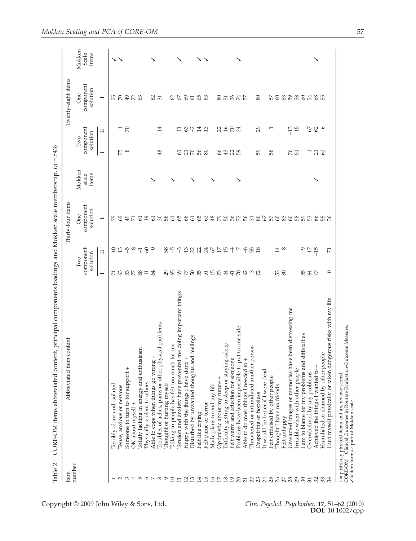| ŕ<br>í<br>l<br>$\overline{\mathbf{I}}$                                                |  |
|---------------------------------------------------------------------------------------|--|
| l                                                                                     |  |
|                                                                                       |  |
|                                                                                       |  |
| ١                                                                                     |  |
|                                                                                       |  |
| i<br>I<br>l                                                                           |  |
| l                                                                                     |  |
| j<br>Í                                                                                |  |
|                                                                                       |  |
| ļ                                                                                     |  |
| l<br>I<br>$\begin{array}{c} \hline \end{array}$<br>í<br>$\overline{a}$<br>١<br>j<br>١ |  |
| ı<br>١<br>E<br>I                                                                      |  |

Copyright © 2009 John Wiley & Sons, Ltd.

| Item           | Abbreviated item content                                                                                                                                                        |                  |                               | Thirty-four items             |                          |                 |                                 | Twenty-eight items            |                          |
|----------------|---------------------------------------------------------------------------------------------------------------------------------------------------------------------------------|------------------|-------------------------------|-------------------------------|--------------------------|-----------------|---------------------------------|-------------------------------|--------------------------|
| number         |                                                                                                                                                                                 |                  | component<br>solution<br>Two- | component<br>solution<br>One- | Mokken<br>items<br>scale |                 | component<br>solution<br>$Two-$ | component<br>solution<br>One- | Mokken<br>Scale<br>items |
|                |                                                                                                                                                                                 | $\overline{ }$   | $\mathbf{I}$                  | $\overline{ }$                |                          | $\overline{ }$  | Π                               | $\overline{ }$                |                          |
|                | Terribly alone and isolated                                                                                                                                                     | К                | $\Xi$                         | Ю                             |                          |                 |                                 |                               |                          |
|                | Tense, anxious or nervous                                                                                                                                                       |                  | $\Xi$                         | 69                            |                          | $5\degree$      |                                 | 57                            | ゝゝ                       |
| $\sim$ $\sim$  | Someone to turn to for support +                                                                                                                                                | $3878$           | $\sqrt{2}$                    | $\ddot{ }$                    |                          |                 | $\frac{1}{2}$                   | $49$                          |                          |
| 40             | OK about myself +                                                                                                                                                               |                  | $-8$                          | $E \nabla$                    |                          |                 |                                 | R3                            |                          |
|                | Totally lacking in energy and enthusiasm                                                                                                                                        |                  | $\overline{\mathbf{1}}$       |                               |                          |                 |                                 |                               |                          |
| $\circ$ $\sim$ | Physically violent to others                                                                                                                                                    | $\Xi$            | $60\,$                        | $\overline{19}$               |                          |                 |                                 |                               |                          |
|                | Able to cope when things go wrong +                                                                                                                                             | $\mathcal{L}$    | $\circ$                       | 50                            |                          |                 |                                 | $rac{2}{31}$                  |                          |
| $\infty$       | Troubles of aches, pains or other physical problems                                                                                                                             |                  |                               |                               |                          | 48              | $-14$                           |                               |                          |
|                | Thought of hurting myself                                                                                                                                                       | 29               | 8 FO                          | 58                            |                          |                 |                                 |                               |                          |
| ≘              | Talking to people has felt too much for me                                                                                                                                      |                  |                               |                               |                          |                 |                                 | $\mathcal{S}$                 |                          |
| 급              | Tension and anxiety have prevented me doing important things                                                                                                                    |                  | $\gamma$                      | 65                            |                          |                 | Ξ                               | 67                            |                          |
| 2              | Happy with the things I have done +                                                                                                                                             |                  |                               |                               |                          |                 |                                 |                               |                          |
| ≏              | Disturbed by unwanted thoughts and feelings                                                                                                                                     |                  | $\frac{1}{2}$ 32              | 68                            |                          | 53288           | 3777                            | 60                            |                          |
| $\Xi$          | Felt like crying                                                                                                                                                                |                  |                               | 65                            |                          |                 |                                 | 65                            |                          |
| 음              | Felt panic or terror                                                                                                                                                            |                  | 24                            | $62$                          |                          |                 |                                 | 63                            |                          |
| $\approx$      | Made plans to end my life                                                                                                                                                       |                  | 67                            |                               |                          |                 |                                 |                               |                          |
| F              | Optimistic about my future -                                                                                                                                                    |                  | $\overline{17}$               |                               |                          |                 |                                 |                               |                          |
| $\frac{8}{19}$ | staying asleep<br>Difficulty getting to sleep or                                                                                                                                |                  | 15                            |                               |                          | \$\$88          | 2282                            | <b>SESTE</b>                  |                          |
|                | Felt warm and affection for someone                                                                                                                                             | 41               | $\overline{\mathcal{A}}$      |                               |                          |                 |                                 |                               |                          |
| $\Omega$       | Problems have been impossible to put to one side                                                                                                                                |                  |                               |                               |                          |                 |                                 |                               |                          |
|                | Able to do most things I needed to +                                                                                                                                            | 7897             |                               |                               |                          |                 |                                 |                               |                          |
|                | Threatened or intimidated another person                                                                                                                                        |                  | 9B2                           |                               |                          |                 |                                 |                               |                          |
|                | Despairing or hopeless                                                                                                                                                          |                  |                               |                               |                          | 59              | 29                              | 80                            |                          |
|                | It would be better if I were dead                                                                                                                                               |                  |                               |                               |                          |                 |                                 |                               |                          |
|                | $\overline{e}$<br>Felt criticised by other peop                                                                                                                                 |                  |                               |                               |                          | 58              |                                 | 57                            |                          |
|                | Thought I have no friends                                                                                                                                                       | 53 <sub>80</sub> | 14                            |                               |                          |                 |                                 |                               |                          |
|                | Felt unhappy                                                                                                                                                                    |                  | $\infty$                      |                               |                          |                 |                                 |                               |                          |
|                | Unwanted images or memories have been distressing me                                                                                                                            |                  |                               |                               |                          | $\frac{6}{27}$  | $-13$                           |                               |                          |
|                | Irritable when with other people                                                                                                                                                |                  |                               |                               |                          |                 |                                 |                               |                          |
|                | am to blame for my problems and difficulties                                                                                                                                    | 55               | G                             |                               |                          |                 |                                 | 82888485                      |                          |
|                | Overwhelmed by my problems                                                                                                                                                      | 35               | $-17$                         |                               |                          |                 | 67                              |                               |                          |
| 32             | Achieved the things I wanted to +                                                                                                                                               |                  | $-15$                         | \$ \$ \$                      |                          | $\frac{71}{62}$ | $62 - 6$                        |                               |                          |
| 33             | Humiliated or shamed by other people                                                                                                                                            |                  |                               |                               |                          |                 |                                 |                               |                          |
| $\mathbb{R}^2$ | Hurt myself physically or taken dangerous risks with my life                                                                                                                    | $\circ$          | $\overline{\mathbf{r}}$       |                               |                          |                 |                                 |                               |                          |
|                | CORE-OM = Clinical Outcomes in Routine Evaluation-Outcome Measure.<br>+ = positively phrased items and are reverse scored.<br>$\checkmark$ = item forms a part of Mokken scale. |                  |                               |                               |                          |                 |                                 |                               |                          |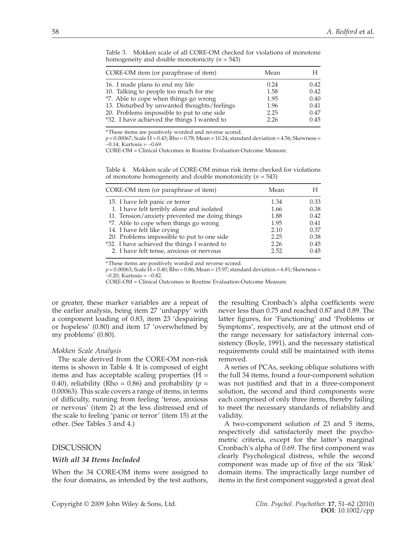| CORE-OM item (or paraphrase of item)        | Mean | Н    |
|---------------------------------------------|------|------|
| 16. I made plans to end my life             | 0.24 | 0.42 |
| 10. Talking to people too much for me       | 1.58 | 0.42 |
| *7. Able to cope when things go wrong       | 1.95 | 0.40 |
| 13. Disturbed by unwanted thoughts/feelings | 1.96 | 0.41 |
| 20. Problems impossible to put to one side  | 2.25 | 0.47 |
| *32. I have achieved the things I wanted to | 2.26 | 0.45 |

Table 3. Mokken scale of all CORE-OM checked for violations of monotone homogeneity and double monotonicity (*n* = 543)

\* These items are positively worded and reverse scored.

 $p = 0.00067$ ; Scale  $\hat{H} = 0.43$ ;  $\hat{R}$ ho = 0.78; Mean = 10.24; standard deviation = 4.56; Skewness =  $-0.14$ ; Kurtosis =  $-0.69$ .

CORE-OM = Clinical Outcomes in Routine Evaluation-Outcome Measure.

Table 4. Mokken scale of CORE-OM minus risk items checked for violations of monotone homogeneity and double monotonicity (*n* = 543)

| CORE-OM item (or paraphrase of item)          | Mean |      |
|-----------------------------------------------|------|------|
| 15. I have felt panic or terror               | 1.34 | 0.33 |
| 1. I have felt terribly alone and isolated    | 1.66 | 0.38 |
| 11. Tension/anxiety prevented me doing things | 1.88 | 0.42 |
| *7. Able to cope when things go wrong         | 1.95 | 0.41 |
| 14. I have felt like crying                   | 2.10 | 0.37 |
| 20. Problems impossible to put to one side    | 2.25 | 0.38 |
| *32. I have achieved the things I wanted to   | 2.26 | 0.45 |
| 2. I have felt tense, anxious or nervous      | 2.52 | 0.45 |

\* These items are positively worded and reverse scored.

 $p = 0.00063$ ; Scale  $\hat{H} = 0.40$ ;  $\hat{R}$ ho = 0.86; Mean = 15.97; standard deviation = 6.81; Skewness =  $-0.20$ ; Kurtosis =  $-0.82$ .

CORE-OM = Clinical Outcomes in Routine Evaluation-Outcome Measure.

or greater, these marker variables are a repeat of the earlier analysis, being item 27 'unhappy' with a component loading of 0.83, item 23 'despairing or hopeless' (0.80) and item 17 'overwhelmed by my problems' (0.80).

#### *Mokken Scale Analysis*

The scale derived from the CORE-OM non-risk items is shown in Table 4. It is composed of eight items and has acceptable scaling properties  $(H =$ 0.40), reliability (Rho = 0.86) and probability ( $p =$ 0.00063). This scale covers a range of items, in terms of difficulty, running from feeling 'tense, anxious or nervous' (item 2) at the less distressed end of the scale to feeling 'panic or terror' (item 15) at the other. (See Tables 3 and 4.)

## DISCUSSION

#### *With all 34 Items Included*

When the 34 CORE-OM items were assigned to the four domains, as intended by the test authors,

the resulting Cronbach's alpha coefficients were never less than 0.75 and reached 0.87 and 0.89. The latter figures, for 'Functioning' and 'Problems or Symptoms', respectively, are at the utmost end of the range necessary for satisfactory internal consistency (Boyle, 1991), and the necessary statistical requirements could still be maintained with items removed.

A series of PCAs, seeking oblique solutions with the full 34 items, found a four-component solution was not justified and that in a three-component solution, the second and third components were each comprised of only three items, thereby failing to meet the necessary standards of reliability and validity.

A two-component solution of 23 and 5 items, respectively did satisfactorily meet the psychometric criteria, except for the latter's marginal Cronbach's alpha of 0.69. The first component was clearly Psychological distress, while the second component was made up of five of the six 'Risk' domain items. The impractically large number of items in the first component suggested a great deal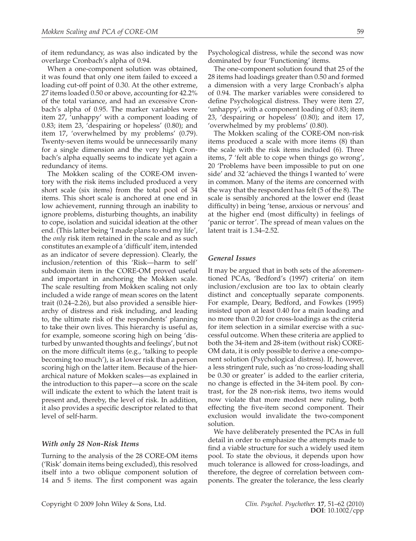of item redundancy, as was also indicated by the overlarge Cronbach's alpha of 0.94.

When a one-component solution was obtained, it was found that only one item failed to exceed a loading cut-off point of 0.30. At the other extreme, 27 items loaded 0.50 or above, accounting for 42.2% of the total variance, and had an excessive Cronbach's alpha of 0.95. The marker variables were item 27, 'unhappy' with a component loading of 0.83; item 23, 'despairing or hopeless' (0.80); and item 17, 'overwhelmed by my problems' (0.79). Twenty-seven items would be unnecessarily many for a single dimension and the very high Cronbach's alpha equally seems to indicate yet again a redundancy of items.

The Mokken scaling of the CORE-OM inventory with the risk items included produced a very short scale (six items) from the total pool of 34 items. This short scale is anchored at one end in low achievement, running through an inability to ignore problems, disturbing thoughts, an inability to cope, isolation and suicidal ideation at the other end. (This latter being 'I made plans to end my life', the *only* risk item retained in the scale and as such constitutes an example of a 'difficult' item, intended as an indicator of severe depression). Clearly, the inclusion/retention of this 'Risk—harm to self' subdomain item in the CORE-OM proved useful and important in anchoring the Mokken scale. The scale resulting from Mokken scaling not only included a wide range of mean scores on the latent trait (0.24–2.26), but also provided a sensible hierarchy of distress and risk including, and leading to, the ultimate risk of the respondents' planning to take their own lives. This hierarchy is useful as, for example, someone scoring high on being 'disturbed by unwanted thoughts and feelings', but not on the more difficult items (e.g., 'talking to people becoming too much'), is at lower risk than a person scoring high on the latter item. Because of the hierarchical nature of Mokken scales—as explained in the introduction to this paper—a score on the scale will indicate the extent to which the latent trait is present and, thereby, the level of risk. In addition, it also provides a specific descriptor related to that level of self-harm.

#### *With only 28 Non-Risk Items*

Turning to the analysis of the 28 CORE-OM items ('Risk' domain items being excluded), this resolved itself into a two oblique component solution of 14 and 5 items. The first component was again Psychological distress, while the second was now dominated by four 'Functioning' items.

The one-component solution found that 25 of the 28 items had loadings greater than 0.50 and formed a dimension with a very large Cronbach's alpha of 0.94. The marker variables were considered to define Psychological distress. They were item 27, 'unhappy', with a component loading of 0.83; item 23, 'despairing or hopeless' (0.80); and item 17, 'overwhelmed by my problems' (0.80).

The Mokken scaling of the CORE-OM non-risk items produced a scale with more items (8) than the scale with the risk items included (6). Three items, 7 'felt able to cope when things go wrong', 20 'Problems have been impossible to put on one side' and 32 'achieved the things I wanted to' were in common. Many of the items are concerned with the way that the respondent has felt (5 of the 8). The scale is sensibly anchored at the lower end (least difficulty) in being 'tense, anxious or nervous' and at the higher end (most difficulty) in feelings of 'panic or terror'. The spread of mean values on the latent trait is 1.34–2.52.

#### *General Issues*

It may be argued that in both sets of the aforementioned PCAs, 'Bedford's (1997) criteria' on item inclusion/exclusion are too lax to obtain clearly distinct and conceptually separate components. For example, Deary, Bedford, and Fowkes (1995) insisted upon at least 0.40 for a main loading and no more than 0.20 for cross-loadings as the criteria for item selection in a similar exercise with a successful outcome. When these criteria are applied to both the 34-item and 28-item (without risk) CORE-OM data, it is only possible to derive a one-component solution (Psychological distress). If, however, a less stringent rule, such as 'no cross-loading shall be 0.30 or greater' is added to the earlier criteria, no change is effected in the 34-item pool. By contrast, for the 28 non-risk items, two items would now violate that more modest new ruling, both effecting the five-item second component. Their exclusion would invalidate the two-component solution.

We have deliberately presented the PCAs in full detail in order to emphasize the attempts made to find a viable structure for such a widely used item pool. To state the obvious, it depends upon how much tolerance is allowed for cross-loadings, and therefore, the degree of correlation between components. The greater the tolerance, the less clearly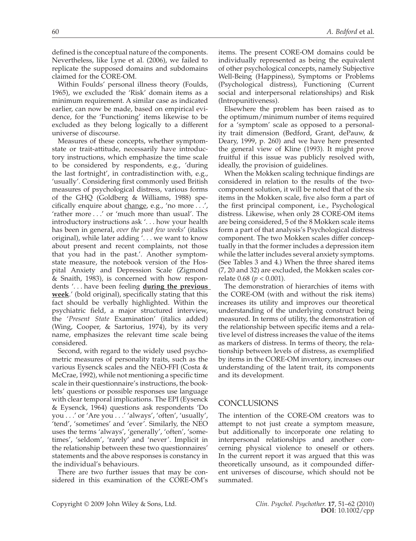defined is the conceptual nature of the components. Nevertheless, like Lyne et al. (2006), we failed to replicate the supposed domains and subdomains claimed for the CORE-OM.

Within Foulds' personal illness theory (Foulds, 1965), we excluded the 'Risk' domain items as a minimum requirement. A similar case as indicated earlier, can now be made, based on empirical evidence, for the 'Functioning' items likewise to be excluded as they belong logically to a different universe of discourse.

Measures of these concepts, whether symptomstate or trait-attitude, necessarily have introductory instructions, which emphasize the time scale to be considered by respondents, e.g., 'during the last fortnight', in contradistinction with, e.g., 'usually'. Considering first commonly used British measures of psychological distress, various forms of the GHQ (Goldberg & Williams, 1988) specifically enquire about change, e.g., 'no more  $\dots'$ , 'rather more . . .' or 'much more than usual'. The introductory instructions ask '. . . how your health has been in general, *over the past few weeks*' (italics original), while later adding '. . . we want to know about present and recent complaints, not those that you had in the past.'. Another symptomstate measure, the notebook version of the Hospital Anxiety and Depression Scale (Zigmond & Snaith, 1983), is concerned with how respondents '. . . have been feeling **during the previous**  week.' (bold original), specifically stating that this fact should be verbally highlighted. Within the psychiatric field, a major structured interview, the '*Present State* Examination' (italics added) (Wing, Cooper, & Sartorius, 1974), by its very name, emphasizes the relevant time scale being considered.

Second, with regard to the widely used psychometric measures of personality traits, such as the various Eysenck scales and the NEO-FFI (Costa & McCrae, 1992), while not mentioning a specific time scale in their questionnaire's instructions, the booklets' questions or possible responses use language with clear temporal implications. The EPI (Eysenck & Eysenck, 1964) questions ask respondents 'Do you . . .' or 'Are you . . .' 'always', 'often', 'usually', 'tend', 'sometimes' and 'ever'. Similarly, the NEO uses the terms 'always', 'generally', 'often', 'sometimes', 'seldom', 'rarely' and 'never'. Implicit in the relationship between these two questionnaires' statements and the above responses is constancy in the individual's behaviours.

There are two further issues that may be considered in this examination of the CORE-OM's

items. The present CORE-OM domains could be individually represented as being the equivalent of other psychological concepts, namely Subjective Well-Being (Happiness), Symptoms or Problems (Psychological distress), Functioning (Current social and interpersonal relationships) and Risk (Intropunitiveness).

Elsewhere the problem has been raised as to the optimum/minimum number of items required for a 'symptom' scale as opposed to a personality trait dimension (Bedford, Grant, dePauw, & Deary, 1999, p. 260) and we have here presented the general view of Kline (1993). It might prove fruitful if this issue was publicly resolved with, ideally, the provision of guidelines.

When the Mokken scaling technique findings are considered in relation to the results of the twocomponent solution, it will be noted that of the six items in the Mokken scale, five also form a part of the first principal component, i.e., Psychological distress. Likewise, when only 28 CORE-OM items are being considered, 5 of the 8 Mokken scale items form a part of that analysis's Psychological distress component. The two Mokken scales differ conceptually in that the former includes a depression item while the latter includes several anxiety symptoms. (See Tables 3 and 4.) When the three shared items (7, 20 and 32) are excluded, the Mokken scales correlate 0.68 (*p* < 0.001).

The demonstration of hierarchies of items with the CORE-OM (with and without the risk items) increases its utility and improves our theoretical understanding of the underlying construct being measured. In terms of utility, the demonstration of the relationship between specific items and a relative level of distress increases the value of the items as markers of distress. In terms of theory, the relationship between levels of distress, as exemplified by items in the CORE-OM inventory, increases our understanding of the latent trait, its components and its development.

# **CONCLUSIONS**

The intention of the CORE-OM creators was to attempt to not just create a symptom measure, but additionally to incorporate one relating to interpersonal relationships and another concerning physical violence to oneself or others. In the current report it was argued that this was theoretically unsound, as it compounded different universes of discourse, which should not be summated.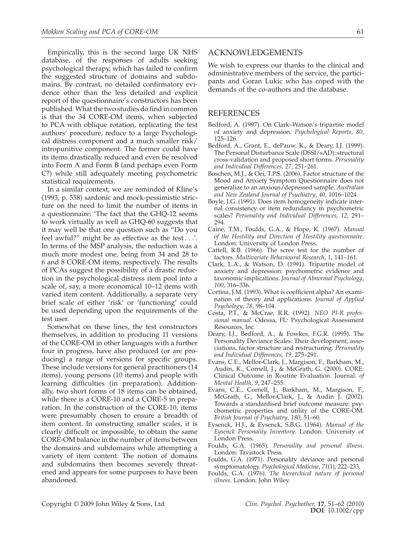Empirically, this is the second large UK NHS database, of the responses of adults seeking psychological therapy, which has failed to confirm the suggested structure of domains and subdomains. By contrast, no detailed confirmatory evidence other than the less detailed and explicit report of the questionnaire's constructors has been published. What the two studies do find in common is that the 34 CORE-OM items, when subjected to PCA with oblique rotation, replicating the test authors' procedure, reduce to a large Psychological distress component and a much smaller risk/ intropunitive component. The former could have its items drastically reduced and even be resolved into Form A and Form B (and perhaps even Form C?) while still adequately meeting psychometric statistical requirements.

In a similar context, we are reminded of Kline's (1993, p. 558) sardonic and mock-pessimistic stricture on the need to limit the number of items in a questionnaire: 'The fact that the GHQ-12 seems to work virtually as well as GHQ-60 suggests that it may well be that one question such as "Do you feel awful?" might be as effective as the test . . .'. In terms of the MSP analysis, the reduction was a much more modest one, being from 34 and 28 to 6 and 8 CORE-OM items, respectively. The results of PCAs suggest the possibility of a drastic reduction in the psychological distress item pool into a scale of, say, a more economical 10–12 items with varied item content. Additionally, a separate very brief scale of either 'risk' or 'functioning' could be used depending upon the requirements of the test user.

Somewhat on these lines, the test constructors themselves, in addition to producing 11 versions of the CORE-OM in other languages with a further four in progress, have also produced (or are producing) a range of versions for specific groups. These include versions for general practitioners (14 items), young persons (10 items) and people with learning difficulties (in preparation). Additionally, two short forms of 18 items can be obtained, while there is a CORE-10 and a CORE-5 in preparation. In the construction of the CORE-10, items were presumably chosen to ensure a breadth of item content. In constructing smaller scales, it is clearly difficult or impossible, to obtain the same CORE-OM balance in the number of items between the domains and subdomains while attempting a variety of item content. The notion of domains and subdomains then becomes severely threatened and appears for some purposes to have been abandoned.

## ACKNOWLEDGEMENTS

We wish to express our thanks to the clinical and administrative members of the service, the participants and Goran Lukic who has coped with the demands of the co-authors and the database.

#### REFERENCES

- Bedford, A. (1997). On Clark–Watson's tripartite model of anxiety and depression. *Psychological Reports*, *80*, 125–126.
- Bedford, A., Grant, E., dePauw, K., & Deary, I.J. (1999). The Personal Disturbance Scale (DSSI/sAD): structural cross-validation and proposed short forms. *Personality and Individual Differences*, *27*, 251–261.
- Boschen, M.J., & Oei, T.P.S. (2006). Factor structure of the Mood and Anxiety Symptom Questionnaire does not generalize to an anxious/depressed sample. *Australian and New Zealand Journal of Psychiatry*, *40*, 1016–1024.
- Boyle, J.G. (1991). Does item homogeneity indicate internal consistency or item redundancy in psychometric scales? *Personality and Individual Differences*, *12*, 291– 294.
- Caine, T.M., Foulds, G.A., & Hope, K. (1967). *Manual of the Hostility and Direction of Hostility questionnaire*. London: University of London Press.
- Cattell, R.B. (1966). The scree test for the number of factors. *Multivariate Behavioural Research*, *1*, 141–161.
- Clark, L.A., & Watson, D. (1991). Tripartite model of anxiety and depression: psychometric evidence and taxonomic implications. *Journal of Abnormal Psychology*, *100*, 316–336.
- Cortina, J.M. (1993). What is coefficient alpha? An examination of theory and applications. *Journal of Applied Psychology*, *78*, 98–104.
- Costa, P.T., & McCrae, R.R. (1992). *NEO PI-R professional manual*. Odessa, FL: Psychological Assessment Resources, Inc.
- Deary, I.J., Bedford, A., & Fowkes, F.G.R. (1995). The Personality Deviance Scales: Their development, associations, factor structure and restructuring. *Personality and Individual Differences*, *19*, 275–291.
- Evans, C.E., Mellor-Clark, J., Margison, F., Barkham, M., Audin, K., Cornell, J., & McGrath, G. (2000). CORE: Clinical Outcome in Routine Evaluation. Journal. *of Mental Health*, *9*, 247–255.
- Evans, C.E., Cornell, J., Barkham, M., Margison, F., McGrath, G., Mellor-Clark, J., & Audin J. (2002). Towards a standardised brief outcome measure: psychometric properties and utility of the CORE-OM. *British Journal of Psychiatry*, *180*, 51–60.
- Eysenck, H.J., & Eysenck, S.B.G. (1964). *Manual of the Eysenck Personality Inventory*. London: University of London Press.
- Foulds, G.A. (1965). *Personality and personal illness*. London: Tavistock Press.
- Foulds, G.A. (1971). Personality deviance and personal symptomatology. *Psychological Medicine*, *71*(1), 222–233.
- Foulds, G.A. (1976). *The hierarchical nature of personal illness*. London: John Wiley.